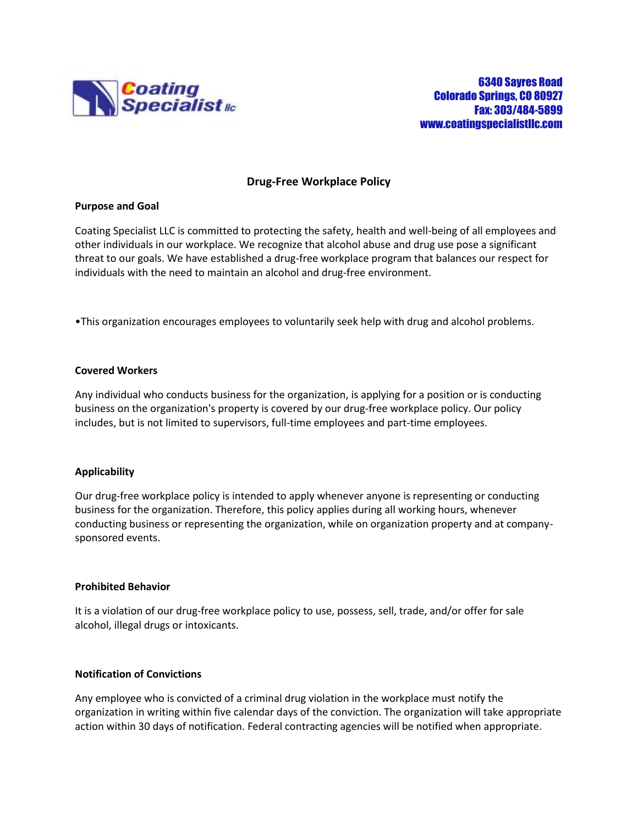

## **Drug-Free Workplace Policy**

### **Purpose and Goal**

Coating Specialist LLC is committed to protecting the safety, health and well-being of all employees and other individuals in our workplace. We recognize that alcohol abuse and drug use pose a significant threat to our goals. We have established a drug-free workplace program that balances our respect for individuals with the need to maintain an alcohol and drug-free environment.

•This organization encourages employees to voluntarily seek help with drug and alcohol problems.

### **Covered Workers**

Any individual who conducts business for the organization, is applying for a position or is conducting business on the organization's property is covered by our drug-free workplace policy. Our policy includes, but is not limited to supervisors, full-time employees and part-time employees.

## **Applicability**

Our drug-free workplace policy is intended to apply whenever anyone is representing or conducting business for the organization. Therefore, this policy applies during all working hours, whenever conducting business or representing the organization, while on organization property and at companysponsored events.

## **Prohibited Behavior**

It is a violation of our drug-free workplace policy to use, possess, sell, trade, and/or offer for sale alcohol, illegal drugs or intoxicants.

## **Notification of Convictions**

Any employee who is convicted of a criminal drug violation in the workplace must notify the organization in writing within five calendar days of the conviction. The organization will take appropriate action within 30 days of notification. Federal contracting agencies will be notified when appropriate.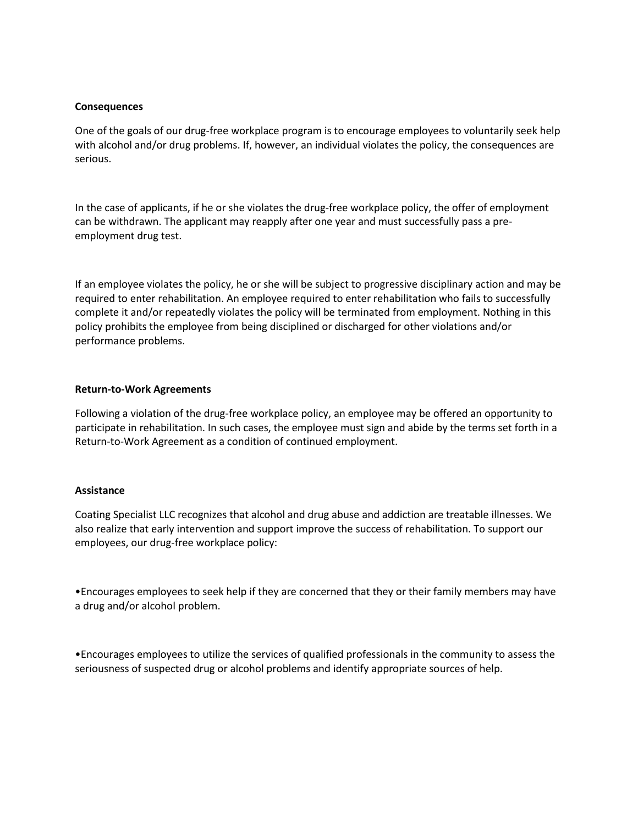#### **Consequences**

One of the goals of our drug-free workplace program is to encourage employees to voluntarily seek help with alcohol and/or drug problems. If, however, an individual violates the policy, the consequences are serious.

In the case of applicants, if he or she violates the drug-free workplace policy, the offer of employment can be withdrawn. The applicant may reapply after one year and must successfully pass a preemployment drug test.

If an employee violates the policy, he or she will be subject to progressive disciplinary action and may be required to enter rehabilitation. An employee required to enter rehabilitation who fails to successfully complete it and/or repeatedly violates the policy will be terminated from employment. Nothing in this policy prohibits the employee from being disciplined or discharged for other violations and/or performance problems.

### **Return-to-Work Agreements**

Following a violation of the drug-free workplace policy, an employee may be offered an opportunity to participate in rehabilitation. In such cases, the employee must sign and abide by the terms set forth in a Return-to-Work Agreement as a condition of continued employment.

#### **Assistance**

Coating Specialist LLC recognizes that alcohol and drug abuse and addiction are treatable illnesses. We also realize that early intervention and support improve the success of rehabilitation. To support our employees, our drug-free workplace policy:

•Encourages employees to seek help if they are concerned that they or their family members may have a drug and/or alcohol problem.

•Encourages employees to utilize the services of qualified professionals in the community to assess the seriousness of suspected drug or alcohol problems and identify appropriate sources of help.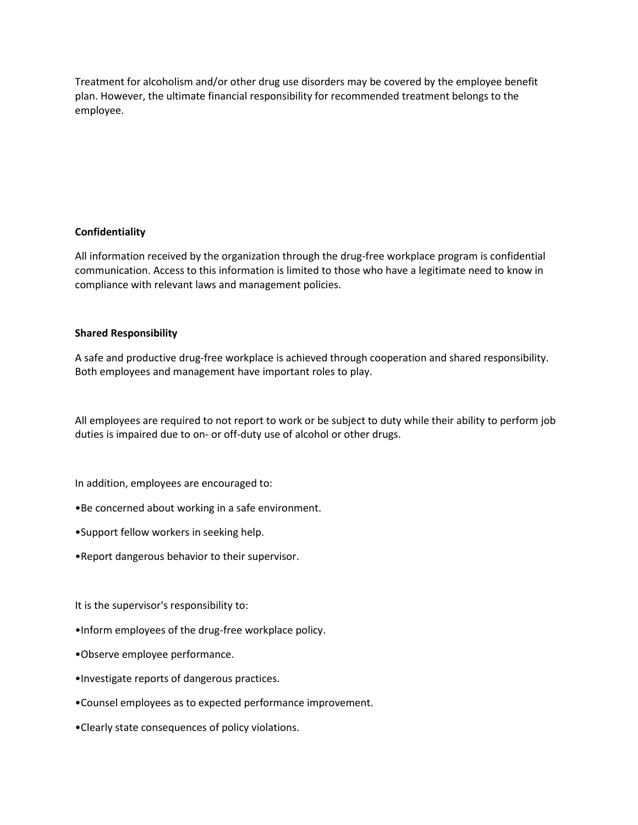Treatment for alcoholism and/or other drug use disorders may be covered by the employee benefit plan. However, the ultimate financial responsibility for recommended treatment belongs to the employee.

# **Confidentiality**

All information received by the organization through the drug-free workplace program is confidential communication. Access to this information is limited to those who have a legitimate need to know in compliance with relevant laws and management policies.

## **Shared Responsibility**

A safe and productive drug-free workplace is achieved through cooperation and shared responsibility. Both employees and management have important roles to play.

All employees are required to not report to work or be subject to duty while their ability to perform job duties is impaired due to on- or off-duty use of alcohol or other drugs.

In addition, employees are encouraged to:

- •Be concerned about working in a safe environment.
- •Support fellow workers in seeking help.
- •Report dangerous behavior to their supervisor.

It is the supervisor's responsibility to:

- •Inform employees of the drug-free workplace policy.
- •Observe employee performance.
- •Investigate reports of dangerous practices.
- •Counsel employees as to expected performance improvement.
- •Clearly state consequences of policy violations.